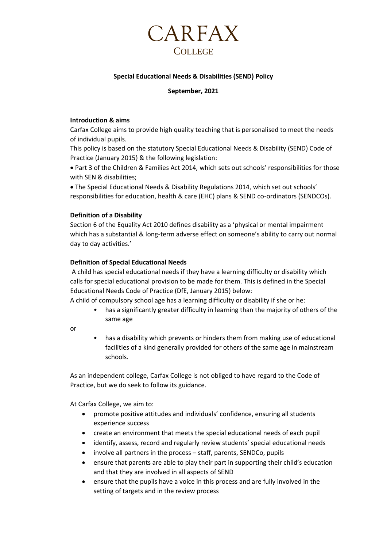

# **Special Educational Needs & Disabilities (SEND) Policy**

# **September, 2021**

# **Introduction & aims**

Carfax College aims to provide high quality teaching that is personalised to meet the needs of individual pupils.

This policy is based on the statutory Special Educational Needs & Disability (SEND) Code of Practice (January 2015) & the following legislation:

• Part 3 of the Children & Families Act 2014, which sets out schools' responsibilities for those with SEN & disabilities;

• The Special Educational Needs & Disability Regulations 2014, which set out schools' responsibilities for education, health & care (EHC) plans & SEND co-ordinators (SENDCOs).

# **Definition of a Disability**

Section 6 of the Equality Act 2010 defines disability as a 'physical or mental impairment which has a substantial & long-term adverse effect on someone's ability to carry out normal day to day activities.'

# **Definition of Special Educational Needs**

A child has special educational needs if they have a learning difficulty or disability which calls for special educational provision to be made for them. This is defined in the Special Educational Needs Code of Practice (DfE, January 2015) below:

A child of compulsory school age has a learning difficulty or disability if she or he:

- has a significantly greater difficulty in learning than the majority of others of the same age
- or
- has a disability which prevents or hinders them from making use of educational facilities of a kind generally provided for others of the same age in mainstream schools.

As an independent college, Carfax College is not obliged to have regard to the Code of Practice, but we do seek to follow its guidance.

At Carfax College, we aim to:

- promote positive attitudes and individuals' confidence, ensuring all students experience success
- create an environment that meets the special educational needs of each pupil
- identify, assess, record and regularly review students' special educational needs
- involve all partners in the process staff, parents, SENDCo, pupils
- ensure that parents are able to play their part in supporting their child's education and that they are involved in all aspects of SEND
- ensure that the pupils have a voice in this process and are fully involved in the setting of targets and in the review process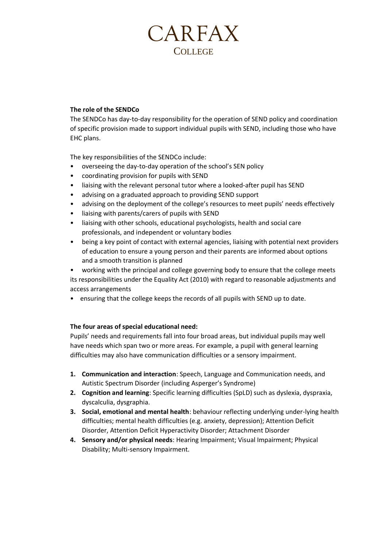# **CARFAX COLLEGE**

# **The role of the SENDCo**

The SENDCo has day-to-day responsibility for the operation of SEND policy and coordination of specific provision made to support individual pupils with SEND, including those who have EHC plans.

The key responsibilities of the SENDCo include:

- overseeing the day-to-day operation of the school's SEN policy
- coordinating provision for pupils with SEND
- liaising with the relevant personal tutor where a looked-after pupil has SEND
- advising on a graduated approach to providing SEND support
- advising on the deployment of the college's resources to meet pupils' needs effectively
- liaising with parents/carers of pupils with SEND
- liaising with other schools, educational psychologists, health and social care professionals, and independent or voluntary bodies
- being a key point of contact with external agencies, liaising with potential next providers of education to ensure a young person and their parents are informed about options and a smooth transition is planned
- working with the principal and college governing body to ensure that the college meets its responsibilities under the Equality Act (2010) with regard to reasonable adjustments and access arrangements
- ensuring that the college keeps the records of all pupils with SEND up to date.

# **The four areas of special educational need:**

Pupils' needs and requirements fall into four broad areas, but individual pupils may well have needs which span two or more areas. For example, a pupil with general learning difficulties may also have communication difficulties or a sensory impairment.

- **1. Communication and interaction**: Speech, Language and Communication needs, and Autistic Spectrum Disorder (including Asperger's Syndrome)
- **2. Cognition and learning**: Specific learning difficulties (SpLD) such as dyslexia, dyspraxia, dyscalculia, dysgraphia.
- **3. Social, emotional and mental health**: behaviour reflecting underlying under-lying health difficulties; mental health difficulties (e.g. anxiety, depression); Attention Deficit Disorder, Attention Deficit Hyperactivity Disorder; Attachment Disorder
- **4. Sensory and/or physical needs**: Hearing Impairment; Visual Impairment; Physical Disability; Multi-sensory Impairment.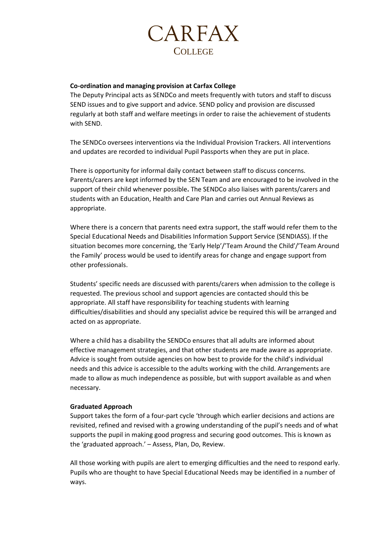

### **Co-ordination and managing provision at Carfax College**

The Deputy Principal acts as SENDCo and meets frequently with tutors and staff to discuss SEND issues and to give support and advice. SEND policy and provision are discussed regularly at both staff and welfare meetings in order to raise the achievement of students with SEND.

The SENDCo oversees interventions via the Individual Provision Trackers. All interventions and updates are recorded to individual Pupil Passports when they are put in place.

There is opportunity for informal daily contact between staff to discuss concerns. Parents/carers are kept informed by the SEN Team and are encouraged to be involved in the support of their child whenever possible**.** The SENDCo also liaises with parents/carers and students with an Education, Health and Care Plan and carries out Annual Reviews as appropriate.

Where there is a concern that parents need extra support, the staff would refer them to the Special Educational Needs and Disabilities Information Support Service (SENDIASS). If the situation becomes more concerning, the 'Early Help'/'Team Around the Child'/'Team Around the Family' process would be used to identify areas for change and engage support from other professionals.

Students' specific needs are discussed with parents/carers when admission to the college is requested. The previous school and support agencies are contacted should this be appropriate. All staff have responsibility for teaching students with learning difficulties/disabilities and should any specialist advice be required this will be arranged and acted on as appropriate.

Where a child has a disability the SENDCo ensures that all adults are informed about effective management strategies, and that other students are made aware as appropriate. Advice is sought from outside agencies on how best to provide for the child's individual needs and this advice is accessible to the adults working with the child. Arrangements are made to allow as much independence as possible, but with support available as and when necessary.

### **Graduated Approach**

Support takes the form of a four-part cycle 'through which earlier decisions and actions are revisited, refined and revised with a growing understanding of the pupil's needs and of what supports the pupil in making good progress and securing good outcomes. This is known as the 'graduated approach.' – Assess, Plan, Do, Review.

All those working with pupils are alert to emerging difficulties and the need to respond early. Pupils who are thought to have Special Educational Needs may be identified in a number of ways.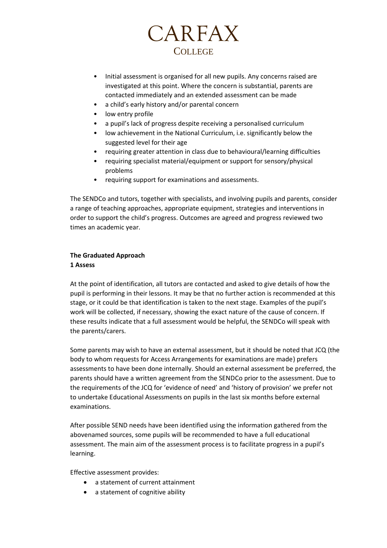

- Initial assessment is organised for all new pupils. Any concerns raised are investigated at this point. Where the concern is substantial, parents are contacted immediately and an extended assessment can be made
- a child's early history and/or parental concern
- low entry profile
- a pupil's lack of progress despite receiving a personalised curriculum
- low achievement in the National Curriculum, i.e. significantly below the suggested level for their age
- requiring greater attention in class due to behavioural/learning difficulties
- requiring specialist material/equipment or support for sensory/physical problems
- requiring support for examinations and assessments.

The SENDCo and tutors, together with specialists, and involving pupils and parents, consider a range of teaching approaches, appropriate equipment, strategies and interventions in order to support the child's progress. Outcomes are agreed and progress reviewed two times an academic year.

# **The Graduated Approach**

# **1 Assess**

At the point of identification, all tutors are contacted and asked to give details of how the pupil is performing in their lessons. It may be that no further action is recommended at this stage, or it could be that identification is taken to the next stage. Examples of the pupil's work will be collected, if necessary, showing the exact nature of the cause of concern. If these results indicate that a full assessment would be helpful, the SENDCo will speak with the parents/carers.

Some parents may wish to have an external assessment, but it should be noted that JCQ (the body to whom requests for Access Arrangements for examinations are made) prefers assessments to have been done internally. Should an external assessment be preferred, the parents should have a written agreement from the SENDCo prior to the assessment. Due to the requirements of the JCQ for 'evidence of need' and 'history of provision' we prefer not to undertake Educational Assessments on pupils in the last six months before external examinations.

After possible SEND needs have been identified using the information gathered from the abovenamed sources, some pupils will be recommended to have a full educational assessment. The main aim of the assessment process is to facilitate progress in a pupil's learning.

Effective assessment provides:

- a statement of current attainment
- a statement of cognitive ability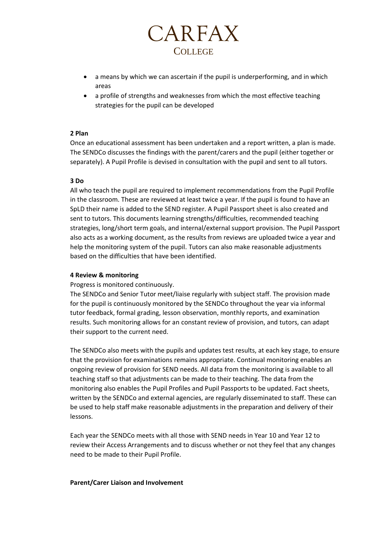

- a means by which we can ascertain if the pupil is underperforming, and in which areas
- a profile of strengths and weaknesses from which the most effective teaching strategies for the pupil can be developed

### **2 Plan**

Once an educational assessment has been undertaken and a report written, a plan is made. The SENDCo discusses the findings with the parent/carers and the pupil (either together or separately). A Pupil Profile is devised in consultation with the pupil and sent to all tutors.

### **3 Do**

All who teach the pupil are required to implement recommendations from the Pupil Profile in the classroom. These are reviewed at least twice a year. If the pupil is found to have an SpLD their name is added to the SEND register. A Pupil Passport sheet is also created and sent to tutors. This documents learning strengths/difficulties, recommended teaching strategies, long/short term goals, and internal/external support provision. The Pupil Passport also acts as a working document, as the results from reviews are uploaded twice a year and help the monitoring system of the pupil. Tutors can also make reasonable adjustments based on the difficulties that have been identified.

### **4 Review & monitoring**

Progress is monitored continuously.

The SENDCo and Senior Tutor meet/liaise regularly with subject staff. The provision made for the pupil is continuously monitored by the SENDCo throughout the year via informal tutor feedback, formal grading, lesson observation, monthly reports, and examination results. Such monitoring allows for an constant review of provision, and tutors, can adapt their support to the current need.

The SENDCo also meets with the pupils and updates test results, at each key stage, to ensure that the provision for examinations remains appropriate. Continual monitoring enables an ongoing review of provision for SEND needs. All data from the monitoring is available to all teaching staff so that adjustments can be made to their teaching. The data from the monitoring also enables the Pupil Profiles and Pupil Passports to be updated. Fact sheets, written by the SENDCo and external agencies, are regularly disseminated to staff. These can be used to help staff make reasonable adjustments in the preparation and delivery of their lessons.

Each year the SENDCo meets with all those with SEND needs in Year 10 and Year 12 to review their Access Arrangements and to discuss whether or not they feel that any changes need to be made to their Pupil Profile.

### **Parent/Carer Liaison and Involvement**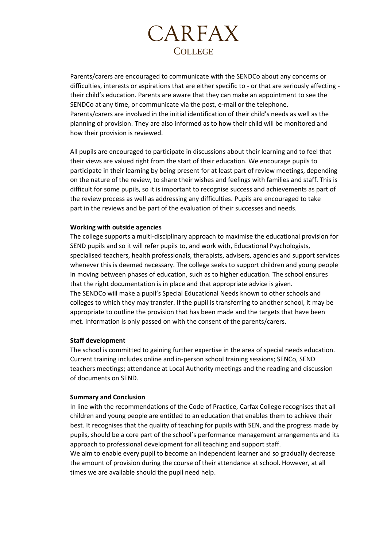

Parents/carers are encouraged to communicate with the SENDCo about any concerns or difficulties, interests or aspirations that are either specific to - or that are seriously affecting their child's education. Parents are aware that they can make an appointment to see the SENDCo at any time, or communicate via the post, e-mail or the telephone. Parents/carers are involved in the initial identification of their child's needs as well as the planning of provision. They are also informed as to how their child will be monitored and how their provision is reviewed.

All pupils are encouraged to participate in discussions about their learning and to feel that their views are valued right from the start of their education. We encourage pupils to participate in their learning by being present for at least part of review meetings, depending on the nature of the review, to share their wishes and feelings with families and staff. This is difficult for some pupils, so it is important to recognise success and achievements as part of the review process as well as addressing any difficulties. Pupils are encouraged to take part in the reviews and be part of the evaluation of their successes and needs.

### **Working with outside agencies**

The college supports a multi-disciplinary approach to maximise the educational provision for SEND pupils and so it will refer pupils to, and work with, Educational Psychologists, specialised teachers, health professionals, therapists, advisers, agencies and support services whenever this is deemed necessary. The college seeks to support children and young people in moving between phases of education, such as to higher education. The school ensures that the right documentation is in place and that appropriate advice is given. The SENDCo will make a pupil's Special Educational Needs known to other schools and colleges to which they may transfer. If the pupil is transferring to another school, it may be appropriate to outline the provision that has been made and the targets that have been met. Information is only passed on with the consent of the parents/carers.

### **Staff development**

The school is committed to gaining further expertise in the area of special needs education. Current training includes online and in-person school training sessions; SENCo, SEND teachers meetings; attendance at Local Authority meetings and the reading and discussion of documents on SEND.

### **Summary and Conclusion**

In line with the recommendations of the Code of Practice, Carfax College recognises that all children and young people are entitled to an education that enables them to achieve their best. It recognises that the quality of teaching for pupils with SEN, and the progress made by pupils, should be a core part of the school's performance management arrangements and its approach to professional development for all teaching and support staff.

We aim to enable every pupil to become an independent learner and so gradually decrease the amount of provision during the course of their attendance at school. However, at all times we are available should the pupil need help.